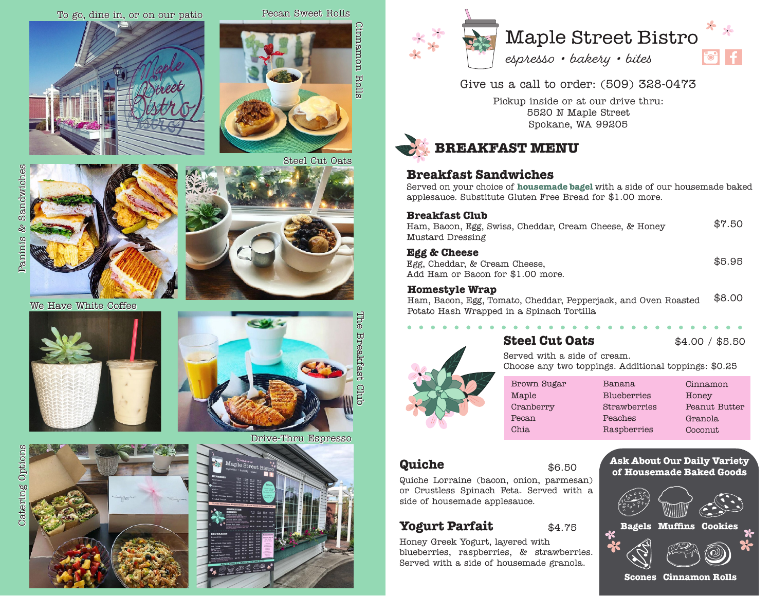

Steel Cut Oats

Cinnamon Rolls

Cinnamon Rolls





Give us a call to order: (509) 328-0473

Pickup inside or at our drive thru: 5520 N Maple Street Spokane, WA 99205



### **Breakfast Sandwiches**

Served on your choice of **housemade bagel** with a side of our housemade baked applesauce. Substitute Gluten Free Bread for \$1.00 more.

#### **Breakfast Club**

| Mustard Dressing                                       |        |
|--------------------------------------------------------|--------|
| Ham, Bacon, Egg, Swiss, Cheddar, Cream Cheese, & Honey | \$7.50 |

#### **Egg & Cheese**

|  | Egg, Cheddar, & Cream Cheese,     |  |  |  |
|--|-----------------------------------|--|--|--|
|  | Add Ham or Bacon for \$1.00 more. |  |  |  |

 $\mathbf{a} \cdot \mathbf{a} \cdot \mathbf{a} \cdot \mathbf{a} \cdot \mathbf{a}$ 

#### **Homestyle Wrap**

Ham, Bacon, Egg, Tomato, Cheddar, Pepperjack, and Oven Roasted Potato Hash Wrapped in a Spinach Tortilla \$8.00

## **Steel Cut Oats**

\$4.00 / \$5.50

\$5.95

Served with a side of cream. Choose any two toppings. Additional toppings: \$0.25

| Brown Sugar |
|-------------|
| Maple       |
| Cranberry   |
| Pecan       |
| Chia        |
|             |

| Banana             | Cinnamon      |
|--------------------|---------------|
| <b>Blueberries</b> | Honey         |
| Strawberries       | Peanut Butter |
| Peaches            | Granola       |
| Raspberries        | Coconut       |
|                    |               |

## **Quiche**

### \$6.50

Quiche Lorraine (bacon, onion, parmesan) or Crustless Spinach Feta. Served with a side of housemade applesauce.

## **Yogurt Parfait**

Honey Greek Yogurt, layered with<br>blueberries, raspberries, & strawberries. **\*** *19 Mage 10* Honey Greek Yogurt, layered with Served with a side of housemade granola.

**Ask About Our Daily Variety of Housemade Baked Goods**



Sandwiches Paninis & Sandwiches ಷಿ Pamimis



We Have White Coffee







Drive-Thru Espresso